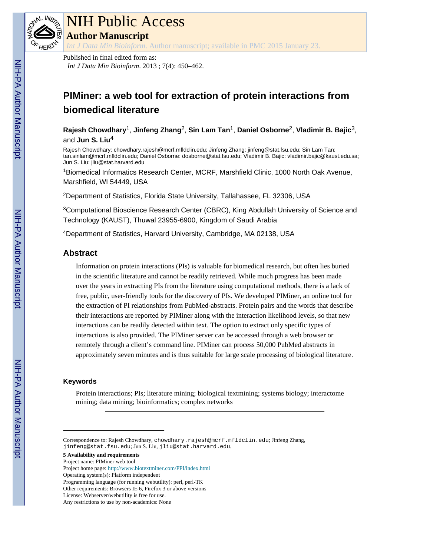

# NIH Public Access

**Author Manuscript**

*Int J Data Min Bioinform*. Author manuscript; available in PMC 2015 January 23.

Published in final edited form as: *Int J Data Min Bioinform*. 2013 ; 7(4): 450–462.

## **PIMiner: a web tool for extraction of protein interactions from biomedical literature**

**Rajesh Chowdhary**1, **Jinfeng Zhang**2, **Sin Lam Tan**1, **Daniel Osborne**2, **Vladimir B. Bajic**3, and **Jun S. Liu**<sup>4</sup>

Rajesh Chowdhary: chowdhary.rajesh@mcrf.mfldclin.edu; Jinfeng Zhang: jinfeng@stat.fsu.edu; Sin Lam Tan: tan.sinlam@mcrf.mfldclin.edu; Daniel Osborne: dosborne@stat.fsu.edu; Vladimir B. Bajic: vladimir.bajic@kaust.edu.sa; Jun S. Liu: jliu@stat.harvard.edu

<sup>1</sup>Biomedical Informatics Research Center, MCRF, Marshfield Clinic, 1000 North Oak Avenue, Marshfield, WI 54449, USA

<sup>2</sup>Department of Statistics, Florida State University, Tallahassee, FL 32306, USA

<sup>3</sup>Computational Bioscience Research Center (CBRC), King Abdullah University of Science and Technology (KAUST), Thuwal 23955-6900, Kingdom of Saudi Arabia

<sup>4</sup>Department of Statistics, Harvard University, Cambridge, MA 02138, USA

## **Abstract**

Information on protein interactions (PIs) is valuable for biomedical research, but often lies buried in the scientific literature and cannot be readily retrieved. While much progress has been made over the years in extracting PIs from the literature using computational methods, there is a lack of free, public, user-friendly tools for the discovery of PIs. We developed PIMiner, an online tool for the extraction of PI relationships from PubMed-abstracts. Protein pairs and the words that describe their interactions are reported by PIMiner along with the interaction likelihood levels, so that new interactions can be readily detected within text. The option to extract only specific types of interactions is also provided. The PIMiner server can be accessed through a web browser or remotely through a client's command line. PIMiner can process 50,000 PubMed abstracts in approximately seven minutes and is thus suitable for large scale processing of biological literature.

#### **Keywords**

Protein interactions; PIs; literature mining; biological textmining; systems biology; interactome mining; data mining; bioinformatics; complex networks

**5 Availability and requirements**

Project name: PIMiner web tool

Project home page: <http://www.biotextminer.com/PPI/index.html>

Other requirements: Browsers IE 6, Firefox 3 or above versions

Correspondence to: Rajesh Chowdhary, chowdhary.rajesh@mcrf.mfldclin.edu; Jinfeng Zhang, jinfeng@stat.fsu.edu; Jun S. Liu, jliu@stat.harvard.edu.

Operating system(s): Platform independent

Programming language (for running webutility): perl, perl-TK

License: Webserver/webutility is free for use.

Any restrictions to use by non-academics: None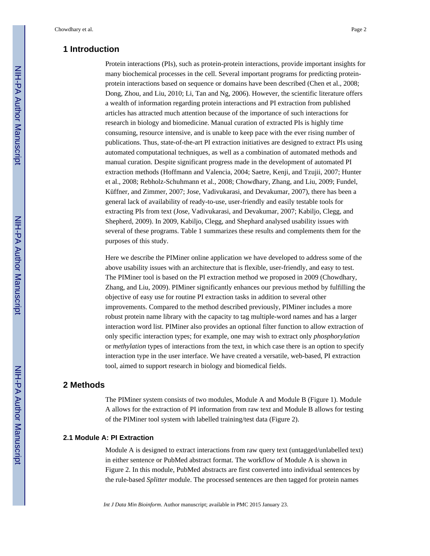## **1 Introduction**

Protein interactions (PIs), such as protein-protein interactions, provide important insights for many biochemical processes in the cell. Several important programs for predicting proteinprotein interactions based on sequence or domains have been described (Chen et al., 2008; Dong, Zhou, and Liu, 2010; Li, Tan and Ng, 2006). However, the scientific literature offers a wealth of information regarding protein interactions and PI extraction from published articles has attracted much attention because of the importance of such interactions for research in biology and biomedicine. Manual curation of extracted PIs is highly time consuming, resource intensive, and is unable to keep pace with the ever rising number of publications. Thus, state-of-the-art PI extraction initiatives are designed to extract PIs using automated computational techniques, as well as a combination of automated methods and manual curation. Despite significant progress made in the development of automated PI extraction methods (Hoffmann and Valencia, 2004; Saetre, Kenji, and Tzujii, 2007; Hunter et al., 2008; Rebholz-Schuhmann et al., 2008; Chowdhary, Zhang, and Liu, 2009; Fundel, Küffner, and Zimmer, 2007; Jose, Vadivukarasi, and Devakumar, 2007), there has been a general lack of availability of ready-to-use, user-friendly and easily testable tools for extracting PIs from text (Jose, Vadivukarasi, and Devakumar, 2007; Kabiljo, Clegg, and Shepherd, 2009). In 2009, Kabiljo, Clegg, and Shephard analysed usability issues with several of these programs. Table 1 summarizes these results and complements them for the purposes of this study.

Here we describe the PIMiner online application we have developed to address some of the above usability issues with an architecture that is flexible, user-friendly, and easy to test. The PIMiner tool is based on the PI extraction method we proposed in 2009 (Chowdhary, Zhang, and Liu, 2009). PIMiner significantly enhances our previous method by fulfilling the objective of easy use for routine PI extraction tasks in addition to several other improvements. Compared to the method described previously, PIMiner includes a more robust protein name library with the capacity to tag multiple-word names and has a larger interaction word list. PIMiner also provides an optional filter function to allow extraction of only specific interaction types; for example, one may wish to extract only *phosphorylation*  or *methylation* types of interactions from the text, in which case there is an option to specify interaction type in the user interface. We have created a versatile, web-based, PI extraction tool, aimed to support research in biology and biomedical fields.

### **2 Methods**

The PIMiner system consists of two modules, Module A and Module B (Figure 1). Module A allows for the extraction of PI information from raw text and Module B allows for testing of the PIMiner tool system with labelled training/test data (Figure 2).

#### **2.1 Module A: PI Extraction**

Module A is designed to extract interactions from raw query text (untagged/unlabelled text) in either sentence or PubMed abstract format. The workflow of Module A is shown in Figure 2. In this module, PubMed abstracts are first converted into individual sentences by the rule-based *Splitter* module. The processed sentences are then tagged for protein names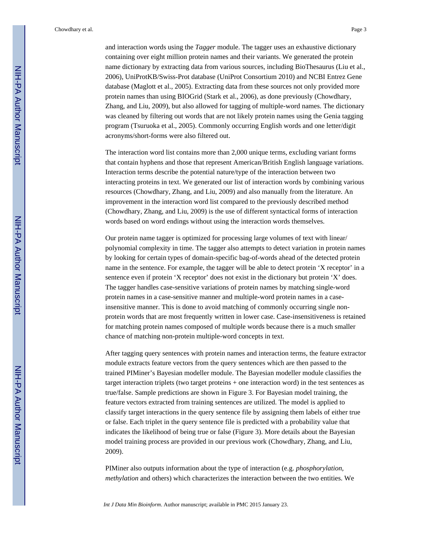Chowdhary et al. Page 3

and interaction words using the *Tagger* module. The tagger uses an exhaustive dictionary containing over eight million protein names and their variants. We generated the protein name dictionary by extracting data from various sources, including BioThesaurus (Liu et al., 2006), UniProtKB/Swiss-Prot database (UniProt Consortium 2010) and NCBI Entrez Gene database (Maglott et al., 2005). Extracting data from these sources not only provided more protein names than using BIOGrid (Stark et al., 2006), as done previously (Chowdhary, Zhang, and Liu, 2009), but also allowed for tagging of multiple-word names. The dictionary was cleaned by filtering out words that are not likely protein names using the Genia tagging program (Tsuruoka et al., 2005). Commonly occurring English words and one letter/digit acronyms/short-forms were also filtered out.

The interaction word list contains more than 2,000 unique terms, excluding variant forms that contain hyphens and those that represent American/British English language variations. Interaction terms describe the potential nature/type of the interaction between two interacting proteins in text. We generated our list of interaction words by combining various resources (Chowdhary, Zhang, and Liu, 2009) and also manually from the literature. An improvement in the interaction word list compared to the previously described method (Chowdhary, Zhang, and Liu, 2009) is the use of different syntactical forms of interaction words based on word endings without using the interaction words themselves.

Our protein name tagger is optimized for processing large volumes of text with linear/ polynomial complexity in time. The tagger also attempts to detect variation in protein names by looking for certain types of domain-specific bag-of-words ahead of the detected protein name in the sentence. For example, the tagger will be able to detect protein 'X receptor' in a sentence even if protein 'X receptor' does not exist in the dictionary but protein 'X' does. The tagger handles case-sensitive variations of protein names by matching single-word protein names in a case-sensitive manner and multiple-word protein names in a caseinsensitive manner. This is done to avoid matching of commonly occurring single nonprotein words that are most frequently written in lower case. Case-insensitiveness is retained for matching protein names composed of multiple words because there is a much smaller chance of matching non-protein multiple-word concepts in text.

After tagging query sentences with protein names and interaction terms, the feature extractor module extracts feature vectors from the query sentences which are then passed to the trained PIMiner's Bayesian modeller module. The Bayesian modeller module classifies the target interaction triplets (two target proteins + one interaction word) in the test sentences as true/false. Sample predictions are shown in Figure 3. For Bayesian model training, the feature vectors extracted from training sentences are utilized. The model is applied to classify target interactions in the query sentence file by assigning them labels of either true or false. Each triplet in the query sentence file is predicted with a probability value that indicates the likelihood of being true or false (Figure 3). More details about the Bayesian model training process are provided in our previous work (Chowdhary, Zhang, and Liu, 2009).

PIMiner also outputs information about the type of interaction (e.g. *phosphorylation, methylation* and others) which characterizes the interaction between the two entities. We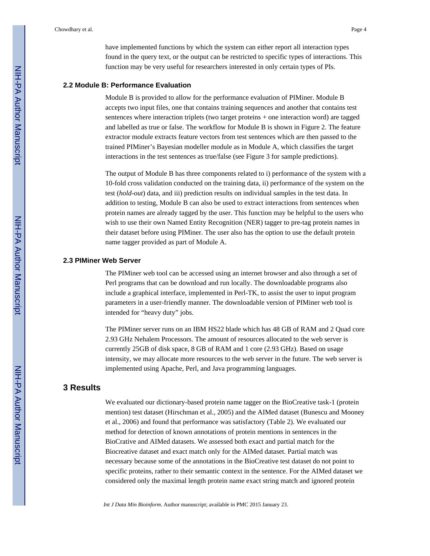have implemented functions by which the system can either report all interaction types found in the query text, or the output can be restricted to specific types of interactions. This function may be very useful for researchers interested in only certain types of PIs.

#### **2.2 Module B: Performance Evaluation**

Module B is provided to allow for the performance evaluation of PIMiner. Module B accepts two input files, one that contains training sequences and another that contains test sentences where interaction triplets (two target proteins + one interaction word) are tagged and labelled as true or false. The workflow for Module B is shown in Figure 2. The feature extractor module extracts feature vectors from test sentences which are then passed to the trained PIMiner's Bayesian modeller module as in Module A, which classifies the target interactions in the test sentences as true/false (see Figure 3 for sample predictions).

The output of Module B has three components related to i) performance of the system with a 10-fold cross validation conducted on the training data, ii) performance of the system on the test (*hold-out*) data, and iii) prediction results on individual samples in the test data. In addition to testing, Module B can also be used to extract interactions from sentences when protein names are already tagged by the user. This function may be helpful to the users who wish to use their own Named Entity Recognition (NER) tagger to pre-tag protein names in their dataset before using PIMiner. The user also has the option to use the default protein name tagger provided as part of Module A.

#### **2.3 PIMiner Web Server**

The PIMiner web tool can be accessed using an internet browser and also through a set of Perl programs that can be download and run locally. The downloadable programs also include a graphical interface, implemented in Perl-TK, to assist the user to input program parameters in a user-friendly manner. The downloadable version of PIMiner web tool is intended for "heavy duty" jobs.

The PIMiner server runs on an IBM HS22 blade which has 48 GB of RAM and 2 Quad core 2.93 GHz Nehalem Processors. The amount of resources allocated to the web server is currently 25GB of disk space, 8 GB of RAM and 1 core (2.93 GHz). Based on usage intensity, we may allocate more resources to the web server in the future. The web server is implemented using Apache, Perl, and Java programming languages.

## **3 Results**

We evaluated our dictionary-based protein name tagger on the BioCreative task-1 (protein mention) test dataset (Hirschman et al., 2005) and the AIMed dataset (Bunescu and Mooney et al., 2006) and found that performance was satisfactory (Table 2). We evaluated our method for detection of known annotations of protein mentions in sentences in the BioCrative and AIMed datasets. We assessed both exact and partial match for the Biocreative dataset and exact match only for the AIMed dataset. Partial match was necessary because some of the annotations in the BioCreative test dataset do not point to specific proteins, rather to their semantic context in the sentence. For the AIMed dataset we considered only the maximal length protein name exact string match and ignored protein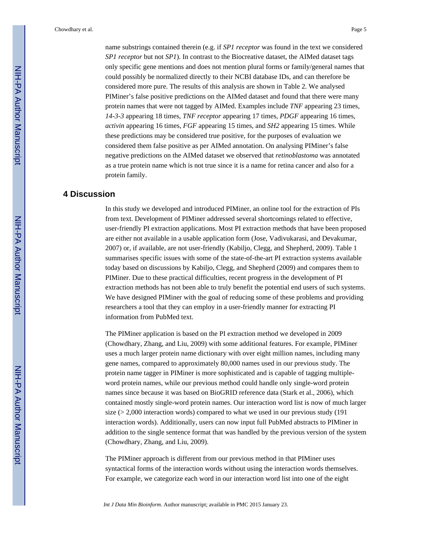name substrings contained therein (e.g. if *SP1 receptor* was found in the text we considered *SP1 receptor* but not *SP1*). In contrast to the Biocreative dataset, the AIMed dataset tags only specific gene mentions and does not mention plural forms or family/general names that could possibly be normalized directly to their NCBI database IDs, and can therefore be considered more pure. The results of this analysis are shown in Table 2. We analysed PIMiner's false positive predictions on the AIMed dataset and found that there were many protein names that were not tagged by AIMed. Examples include *TNF* appearing 23 times, *14-3-3* appearing 18 times, *TNF receptor* appearing 17 times, *PDGF* appearing 16 times, *activin* appearing 16 times, *FGF* appearing 15 times, and *SH2* appearing 15 times. While these predictions may be considered true positive, for the purposes of evaluation we considered them false positive as per AIMed annotation. On analysing PIMiner's false negative predictions on the AIMed dataset we observed that *retinoblastoma* was annotated as a true protein name which is not true since it is a name for retina cancer and also for a protein family.

## **4 Discussion**

In this study we developed and introduced PIMiner, an online tool for the extraction of PIs from text. Development of PIMiner addressed several shortcomings related to effective, user-friendly PI extraction applications. Most PI extraction methods that have been proposed are either not available in a usable application form (Jose, Vadivukarasi, and Devakumar, 2007) or, if available, are not user-friendly (Kabiljo, Clegg, and Shepherd, 2009). Table 1 summarises specific issues with some of the state-of-the-art PI extraction systems available today based on discussions by Kabiljo, Clegg, and Shepherd (2009) and compares them to PIMiner. Due to these practical difficulties, recent progress in the development of PI extraction methods has not been able to truly benefit the potential end users of such systems. We have designed PIMiner with the goal of reducing some of these problems and providing researchers a tool that they can employ in a user-friendly manner for extracting PI information from PubMed text.

The PIMiner application is based on the PI extraction method we developed in 2009 (Chowdhary, Zhang, and Liu, 2009) with some additional features. For example, PIMiner uses a much larger protein name dictionary with over eight million names, including many gene names, compared to approximately 80,000 names used in our previous study. The protein name tagger in PIMiner is more sophisticated and is capable of tagging multipleword protein names, while our previous method could handle only single-word protein names since because it was based on BioGRID reference data (Stark et al., 2006), which contained mostly single-word protein names. Our interaction word list is now of much larger size  $(> 2,000$  interaction words) compared to what we used in our previous study (191) interaction words). Additionally, users can now input full PubMed abstracts to PIMiner in addition to the single sentence format that was handled by the previous version of the system (Chowdhary, Zhang, and Liu, 2009).

The PIMiner approach is different from our previous method in that PIMiner uses syntactical forms of the interaction words without using the interaction words themselves. For example, we categorize each word in our interaction word list into one of the eight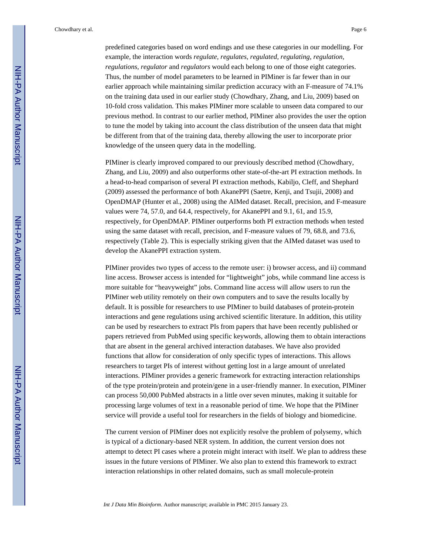Chowdhary et al. Page 6

predefined categories based on word endings and use these categories in our modelling. For example, the interaction words *regulate, regulates, regulated, regulating, regulation, regulations, regulator* and *regulators* would each belong to one of those eight categories. Thus, the number of model parameters to be learned in PIMiner is far fewer than in our earlier approach while maintaining similar prediction accuracy with an F-measure of 74.1% on the training data used in our earlier study (Chowdhary, Zhang, and Liu, 2009) based on 10-fold cross validation. This makes PIMiner more scalable to unseen data compared to our previous method. In contrast to our earlier method, PIMiner also provides the user the option to tune the model by taking into account the class distribution of the unseen data that might be different from that of the training data, thereby allowing the user to incorporate prior knowledge of the unseen query data in the modelling.

PIMiner is clearly improved compared to our previously described method (Chowdhary, Zhang, and Liu, 2009) and also outperforms other state-of-the-art PI extraction methods. In a head-to-head comparison of several PI extraction methods, Kabiljo, Cleff, and Shephard (2009) assessed the performance of both AkanePPI (Saetre, Kenji, and Tsujii, 2008) and OpenDMAP (Hunter et al., 2008) using the AIMed dataset. Recall, precision, and F-measure values were 74, 57.0, and 64.4, respectively, for AkanePPI and 9.1, 61, and 15.9, respectively, for OpenDMAP. PIMiner outperforms both PI extraction methods when tested using the same dataset with recall, precision, and F-measure values of 79, 68.8, and 73.6, respectively (Table 2). This is especially striking given that the AIMed dataset was used to develop the AkanePPI extraction system.

PIMiner provides two types of access to the remote user: i) browser access, and ii) command line access. Browser access is intended for "lightweight" jobs, while command line access is more suitable for "heavyweight" jobs. Command line access will allow users to run the PIMiner web utility remotely on their own computers and to save the results locally by default. It is possible for researchers to use PIMiner to build databases of protein-protein interactions and gene regulations using archived scientific literature. In addition, this utility can be used by researchers to extract PIs from papers that have been recently published or papers retrieved from PubMed using specific keywords, allowing them to obtain interactions that are absent in the general archived interaction databases. We have also provided functions that allow for consideration of only specific types of interactions. This allows researchers to target PIs of interest without getting lost in a large amount of unrelated interactions. PIMiner provides a generic framework for extracting interaction relationships of the type protein/protein and protein/gene in a user-friendly manner. In execution, PIMiner can process 50,000 PubMed abstracts in a little over seven minutes, making it suitable for processing large volumes of text in a reasonable period of time. We hope that the PIMiner service will provide a useful tool for researchers in the fields of biology and biomedicine.

The current version of PIMiner does not explicitly resolve the problem of polysemy, which is typical of a dictionary-based NER system. In addition, the current version does not attempt to detect PI cases where a protein might interact with itself. We plan to address these issues in the future versions of PIMiner. We also plan to extend this framework to extract interaction relationships in other related domains, such as small molecule-protein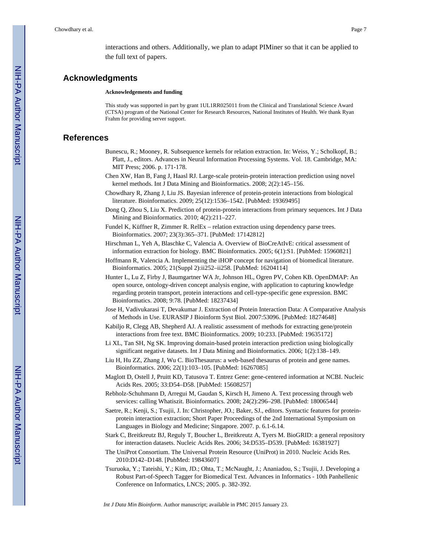interactions and others. Additionally, we plan to adapt PIMiner so that it can be applied to the full text of papers.

## **Acknowledgments**

**Acknowledgements and funding**

This study was supported in part by grant 1UL1RR025011 from the Clinical and Translational Science Award (CTSA) program of the National Center for Research Resources, National Institutes of Health. We thank Ryan Frahm for providing server support.

## **References**

- Bunescu, R.; Mooney, R. Subsequence kernels for relation extraction. In: Weiss, Y.; Scholkopf, B.; Platt, J., editors. Advances in Neural Information Processing Systems. Vol. 18. Cambridge, MA: MIT Press; 2006. p. 171-178.
- Chen XW, Han B, Fang J, Haasl RJ. Large-scale protein-protein interaction prediction using novel kernel methods. Int J Data Mining and Bioinformatics. 2008; 2(2):145–156.
- Chowdhary R, Zhang J, Liu JS. Bayesian inference of protein-protein interactions from biological literature. Bioinformatics. 2009; 25(12):1536–1542. [PubMed: 19369495]
- Dong Q, Zhou S, Liu X. Prediction of protein-protein interactions from primary sequences. Int J Data Mining and Bioinformatics. 2010; 4(2):211–227.
- Fundel K, Küffner R, Zimmer R. RelEx relation extraction using dependency parse trees. Bioinformatics. 2007; 23(3):365–371. [PubMed: 17142812]
- Hirschman L, Yeh A, Blaschke C, Valencia A. Overview of BioCreAtIvE: critical assessment of information extraction for biology. BMC Bioinformatics. 2005; 6(1):S1. [PubMed: 15960821]
- Hoffmann R, Valencia A. Implementing the iHOP concept for navigation of biomedical literature. Bioinformatics. 2005; 21(Suppl 2):ii252–ii258. [PubMed: 16204114]
- Hunter L, Lu Z, Firby J, Baumgartner WA Jr, Johnson HL, Ogren PV, Cohen KB. OpenDMAP: An open source, ontology-driven concept analysis engine, with application to capturing knowledge regarding protein transport, protein interactions and cell-type-specific gene expression. BMC Bioinformatics. 2008; 9:78. [PubMed: 18237434]
- Jose H, Vadivukarasi T, Devakumar J. Extraction of Protein Interaction Data: A Comparative Analysis of Methods in Use. EURASIP J Bioinform Syst Biol. 2007:53096. [PubMed: 18274648]
- Kabiljo R, Clegg AB, Shepherd AJ. A realistic assessment of methods for extracting gene/protein interactions from free text. BMC Bioinformatics. 2009; 10:233. [PubMed: 19635172]
- Li XL, Tan SH, Ng SK. Improving domain-based protein interaction prediction using biologically significant negative datasets. Int J Data Mining and Bioinformatics. 2006; 1(2):138–149.
- Liu H, Hu ZZ, Zhang J, Wu C. BioThesaurus: a web-based thesaurus of protein and gene names. Bioinformatics. 2006; 22(1):103–105. [PubMed: 16267085]
- Maglott D, Ostell J, Pruitt KD, Tatusova T. Entrez Gene: gene-centered information at NCBI. Nucleic Acids Res. 2005; 33:D54–D58. [PubMed: 15608257]
- Rebholz-Schuhmann D, Arregui M, Gaudan S, Kirsch H, Jimeno A. Text processing through web services: calling Whatiszit. Bioinformatics. 2008; 24(2):296–298. [PubMed: 18006544]
- Saetre, R.; Kenji, S.; Tsujii, J. In: Christopher, JO.; Baker, SJ., editors. Syntactic features for proteinprotein interaction extraction; Short Paper Proceedings of the 2nd International Symposium on Languages in Biology and Medicine; Singapore. 2007. p. 6.1-6.14.
- Stark C, Breitkreutz BJ, Reguly T, Boucher L, Breitkreutz A, Tyers M. BioGRID: a general repository for interaction datasets. Nucleic Acids Res. 2006; 34:D535–D539. [PubMed: 16381927]
- The UniProt Consortium. The Universal Protein Resource (UniProt) in 2010. Nucleic Acids Res. 2010:D142–D148. [PubMed: 19843607]
- Tsuruoka, Y.; Tateishi, Y.; Kim, JD.; Ohta, T.; McNaught, J.; Ananiadou, S.; Tsujii, J. Developing a Robust Part-of-Speech Tagger for Biomedical Text. Advances in Informatics - 10th Panhellenic Conference on Informatics, LNCS; 2005. p. 382-392.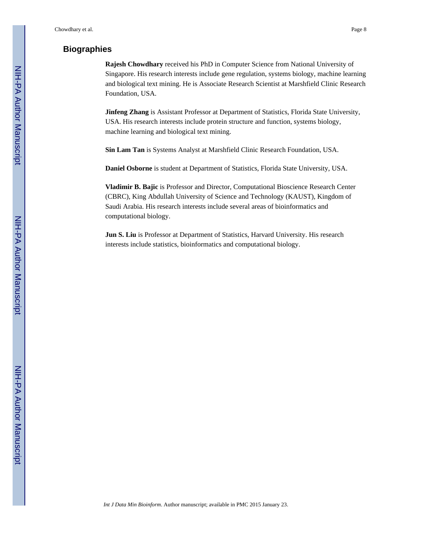## **Biographies**

**Rajesh Chowdhary** received his PhD in Computer Science from National University of Singapore. His research interests include gene regulation, systems biology, machine learning and biological text mining. He is Associate Research Scientist at Marshfield Clinic Research Foundation, USA.

**Jinfeng Zhang** is Assistant Professor at Department of Statistics, Florida State University, USA. His research interests include protein structure and function, systems biology, machine learning and biological text mining.

**Sin Lam Tan** is Systems Analyst at Marshfield Clinic Research Foundation, USA.

**Daniel Osborne** is student at Department of Statistics, Florida State University, USA.

**Vladimir B. Bajic** is Professor and Director, Computational Bioscience Research Center (CBRC), King Abdullah University of Science and Technology (KAUST), Kingdom of Saudi Arabia. His research interests include several areas of bioinformatics and computational biology.

**Jun S. Liu** is Professor at Department of Statistics, Harvard University. His research interests include statistics, bioinformatics and computational biology.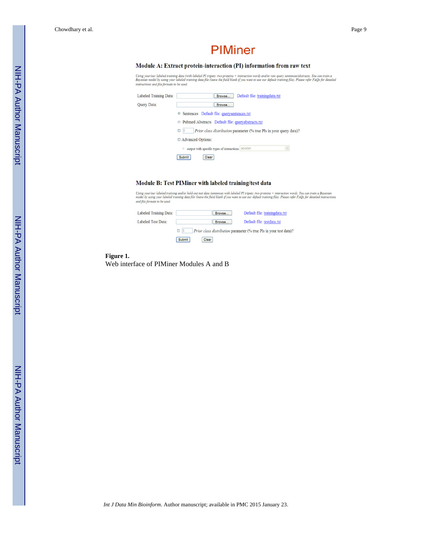Chowdhary et al. Page 9

## **PIMiner**

#### Module A: Extract protein-interaction (PI) information from raw text

Using your/our labeled training data (with labeled PI tripets: two proteins + interaction word) and/or raw query sentences/abstracts. You can train a<br>Bayesian model by using your labeled training data file (leave the field

| Labeled Training Data: | Default file: trainingdata.txt<br>Browse                                                    |
|------------------------|---------------------------------------------------------------------------------------------|
| Query Data:            | Browse                                                                                      |
|                        | ◎ Sentences Default file: querysentences.txt                                                |
|                        | Pubmed Abstracts Default file: queryabstracts.txt<br>$\circ$                                |
|                        | Prior class distribution parameter (% true PIs in your query data)?<br>$\Box$<br>$\sqrt{5}$ |
|                        | □ Advanced Options:                                                                         |
|                        | <sup>®</sup> output with specific types of interactions abolish<br>$\lor$                   |
|                        | Submit<br>Clear                                                                             |

#### Module B: Test PIMiner with labeled training/test data

Using your/our labeled training and/or hold-out test data (sentences with labeled PI tripets: two proteins + interaction word). You can train a Bayesian<br>model by using your labeled training data file (leave the field blank

| Labeled Training Data: |                 | Browse | Default file: trainingdata.txt                                     |
|------------------------|-----------------|--------|--------------------------------------------------------------------|
| Labeled Test Data:     |                 | Browse | Default file: testdata.txt                                         |
|                        | $\Box$ 5        |        | Prior class distribution parameter (% true PIs in your test data)? |
|                        | Clear<br>Submit |        |                                                                    |

#### **Figure 1.**  Web interface of PIMiner Modules A and B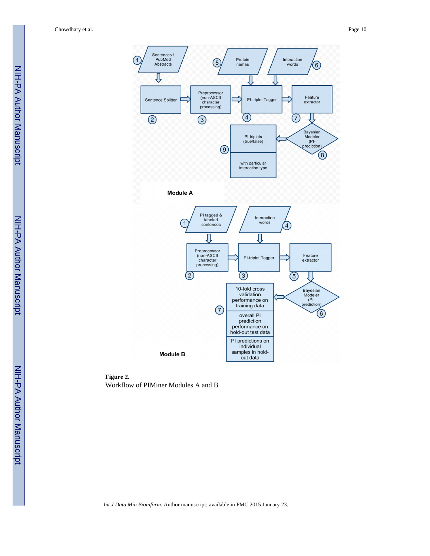

**Figure 2.**  Workflow of PIMiner Modules A and B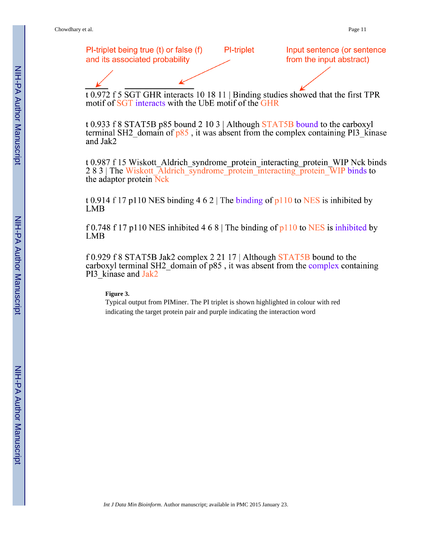

 $\overline{t}$  0.972 f 5 SGT GHR interacts 10 18 11 | Binding studies showed that the first TPR motif of SGT interacts with the UbE motif of the GHR

t 0.933 f 8 STAT5B p85 bound 2 10 3 | Although STAT5B bound to the carboxyl terminal SH2 domain of  $p85$ , it was absent from the complex containing PI3 kinase and Jak2

t 0.987 f 15 Wiskott Aldrich syndrome protein interacting protein WIP Nck binds 283 The Wiskott Aldrich syndrome protein interacting protein WIP binds to the adaptor protein Nck

t 0.914 f 17 p110 NES binding 4 6 2 | The binding of p110 to NES is inhibited by **LMB** 

f 0.748 f 17 p110 NES inhibited 4 6 8 | The binding of p110 to NES is inhibited by **LMB** 

f 0.929 f 8 STAT5B Jak2 complex 2 21 17 | Although STAT5B bound to the carboxyl terminal SH2 domain of  $p85$ , it was absent from the complex containing PI3 kinase and Jak2

#### **Figure 3.**

Typical output from PIMiner. The PI triplet is shown highlighted in colour with red indicating the target protein pair and purple indicating the interaction word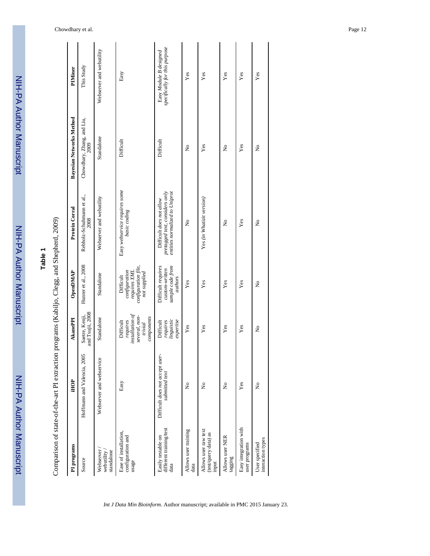| <b>Autho</b> |
|--------------|
|              |
|              |
|              |
|              |
|              |
|              |
|              |
|              |
|              |
|              |
|              |
|              |
|              |
|              |
|              |
| יומיו ומחיוו |
|              |
|              |
|              |
|              |

NIH-PA Author Manuscript

NIH-PA Author Manuscript

Comparison of state-of-the-art PI extraction programs (Kabiljo, Clegg, and Shepherd, 2009) Comparison of state-of-the-art PI extraction programs (Kabiljo, Clegg, and Shepherd, 2009)

| PI programs                                           | iHOP                                             | <b>AkanePPI</b>                                                                                 | OpenDMAP                                                                          | Protein Corral                                                                               | <b>Bayesian Networks Method</b> | PIMiner                                                 |
|-------------------------------------------------------|--------------------------------------------------|-------------------------------------------------------------------------------------------------|-----------------------------------------------------------------------------------|----------------------------------------------------------------------------------------------|---------------------------------|---------------------------------------------------------|
| Source                                                | Hoffmann and Valencia, 2005                      | and Tsujii, 2008<br>Saetre, Kenji,                                                              | Hunter et al., 2008                                                               | Rebholz-Schuhmann et al.,<br>2008                                                            | Chowdhary, Zhang, and Liu,      | This Study                                              |
| Webserver<br>standalone<br>webutility                 | Webserver and webservice                         | Standalone                                                                                      | Standalone                                                                        | Webserver and webutility                                                                     | Standalone                      | Webserver and webutility                                |
| Ease of installation,<br>configuration and<br>usage   | Easy                                             | in <sub>st</sub> allation of<br>several, non-<br>components<br>requires<br>Difficult<br>trivial | configuration file,<br>requires XML<br>configuration<br>not supplied<br>Difficult | Easy webservice requires some<br>basic coding                                                | Difficult                       | Easy                                                    |
| different training/test<br>Easily testable on<br>data | Difficult does not accept user<br>submitted text | linguistic<br>Difficult<br>requires<br>$e$ xpertise                                             | Difficult requires<br>sample code from<br>custom-written<br>authors               | pretagged text, considers only<br>entities normalized to Uniprot<br>Difficult does not allow | Difficult                       | specifically for this purpose<br>Easy Module B designed |
| Allows user training<br>data                          | $\tilde{z}$                                      | $\mathbf{Yes}$                                                                                  | Yes                                                                               | ż                                                                                            | $\tilde{z}$                     | $\mathbf{Yes}$                                          |
| Allows user raw text<br>(test/query data) as<br>input | $\tilde{\mathbf{z}}$                             | Yes                                                                                             | Yes                                                                               | Yes (in Whatizit version)                                                                    | Yes                             | Yes                                                     |
| Allows user NER<br>tagging                            | $\mathsf{S}^{\mathsf{o}}$                        | Yes                                                                                             | Yes                                                                               | Ş                                                                                            | $\frac{1}{2}$                   | Yes                                                     |
| Easy integration with<br>user programs                | Yes                                              | Yes                                                                                             | Yes                                                                               | Yes                                                                                          | Yes                             | Yes                                                     |
| interaction types<br>User specified                   | $\tilde{z}$                                      | ż                                                                                               | ž                                                                                 | ż                                                                                            | ž                               | Yes                                                     |